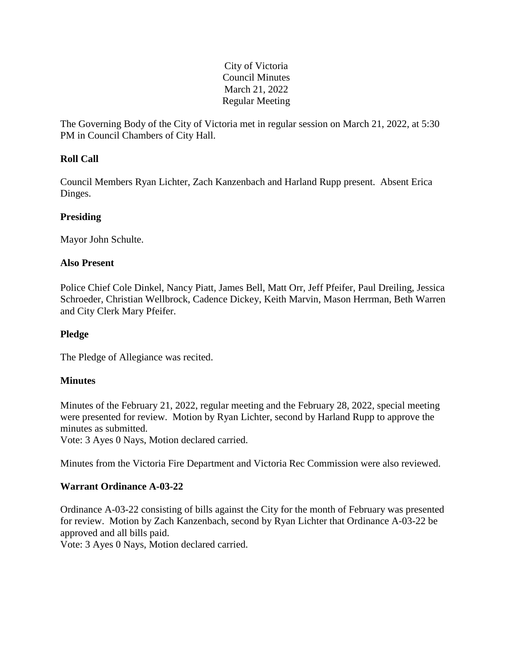## City of Victoria Council Minutes March 21, 2022 Regular Meeting

The Governing Body of the City of Victoria met in regular session on March 21, 2022, at 5:30 PM in Council Chambers of City Hall.

# **Roll Call**

Council Members Ryan Lichter, Zach Kanzenbach and Harland Rupp present. Absent Erica Dinges.

# **Presiding**

Mayor John Schulte.

## **Also Present**

Police Chief Cole Dinkel, Nancy Piatt, James Bell, Matt Orr, Jeff Pfeifer, Paul Dreiling, Jessica Schroeder, Christian Wellbrock, Cadence Dickey, Keith Marvin, Mason Herrman, Beth Warren and City Clerk Mary Pfeifer.

## **Pledge**

The Pledge of Allegiance was recited.

## **Minutes**

Minutes of the February 21, 2022, regular meeting and the February 28, 2022, special meeting were presented for review. Motion by Ryan Lichter, second by Harland Rupp to approve the minutes as submitted.

Vote: 3 Ayes 0 Nays, Motion declared carried.

Minutes from the Victoria Fire Department and Victoria Rec Commission were also reviewed.

## **Warrant Ordinance A-03-22**

Ordinance A-03-22 consisting of bills against the City for the month of February was presented for review. Motion by Zach Kanzenbach, second by Ryan Lichter that Ordinance A-03-22 be approved and all bills paid.

Vote: 3 Ayes 0 Nays, Motion declared carried.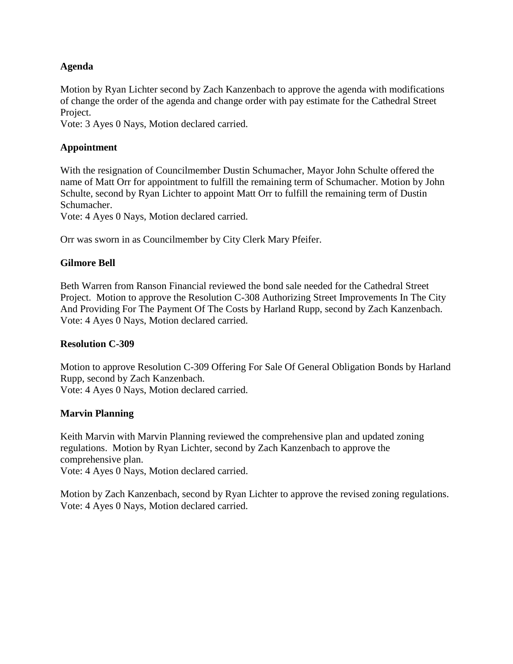### **Agenda**

Motion by Ryan Lichter second by Zach Kanzenbach to approve the agenda with modifications of change the order of the agenda and change order with pay estimate for the Cathedral Street Project.

Vote: 3 Ayes 0 Nays, Motion declared carried.

### **Appointment**

With the resignation of Councilmember Dustin Schumacher, Mayor John Schulte offered the name of Matt Orr for appointment to fulfill the remaining term of Schumacher. Motion by John Schulte, second by Ryan Lichter to appoint Matt Orr to fulfill the remaining term of Dustin Schumacher.

Vote: 4 Ayes 0 Nays, Motion declared carried.

Orr was sworn in as Councilmember by City Clerk Mary Pfeifer.

### **Gilmore Bell**

Beth Warren from Ranson Financial reviewed the bond sale needed for the Cathedral Street Project. Motion to approve the Resolution C-308 Authorizing Street Improvements In The City And Providing For The Payment Of The Costs by Harland Rupp, second by Zach Kanzenbach. Vote: 4 Ayes 0 Nays, Motion declared carried.

#### **Resolution C-309**

Motion to approve Resolution C-309 Offering For Sale Of General Obligation Bonds by Harland Rupp, second by Zach Kanzenbach. Vote: 4 Ayes 0 Nays, Motion declared carried.

#### **Marvin Planning**

Keith Marvin with Marvin Planning reviewed the comprehensive plan and updated zoning regulations. Motion by Ryan Lichter, second by Zach Kanzenbach to approve the comprehensive plan.

Vote: 4 Ayes 0 Nays, Motion declared carried.

Motion by Zach Kanzenbach, second by Ryan Lichter to approve the revised zoning regulations. Vote: 4 Ayes 0 Nays, Motion declared carried.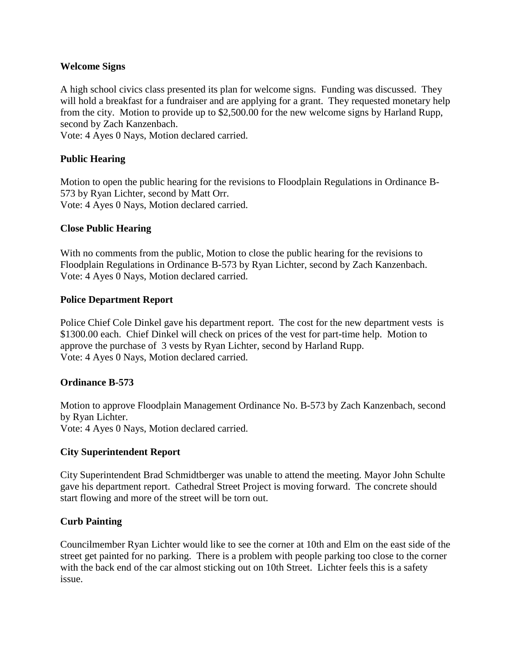### **Welcome Signs**

A high school civics class presented its plan for welcome signs. Funding was discussed. They will hold a breakfast for a fundraiser and are applying for a grant. They requested monetary help from the city. Motion to provide up to \$2,500.00 for the new welcome signs by Harland Rupp, second by Zach Kanzenbach.

Vote: 4 Ayes 0 Nays, Motion declared carried.

# **Public Hearing**

Motion to open the public hearing for the revisions to Floodplain Regulations in Ordinance B-573 by Ryan Lichter, second by Matt Orr. Vote: 4 Ayes 0 Nays, Motion declared carried.

### **Close Public Hearing**

With no comments from the public, Motion to close the public hearing for the revisions to Floodplain Regulations in Ordinance B-573 by Ryan Lichter, second by Zach Kanzenbach. Vote: 4 Ayes 0 Nays, Motion declared carried.

### **Police Department Report**

Police Chief Cole Dinkel gave his department report. The cost for the new department vests is \$1300.00 each. Chief Dinkel will check on prices of the vest for part-time help. Motion to approve the purchase of 3 vests by Ryan Lichter, second by Harland Rupp. Vote: 4 Ayes 0 Nays, Motion declared carried.

## **Ordinance B-573**

Motion to approve Floodplain Management Ordinance No. B-573 by Zach Kanzenbach, second by Ryan Lichter. Vote: 4 Ayes 0 Nays, Motion declared carried.

#### **City Superintendent Report**

City Superintendent Brad Schmidtberger was unable to attend the meeting. Mayor John Schulte gave his department report. Cathedral Street Project is moving forward. The concrete should start flowing and more of the street will be torn out.

## **Curb Painting**

Councilmember Ryan Lichter would like to see the corner at 10th and Elm on the east side of the street get painted for no parking. There is a problem with people parking too close to the corner with the back end of the car almost sticking out on 10th Street. Lichter feels this is a safety issue.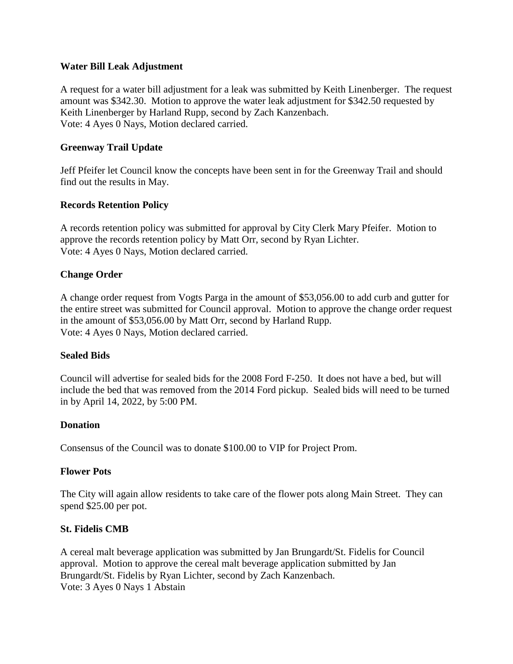#### **Water Bill Leak Adjustment**

A request for a water bill adjustment for a leak was submitted by Keith Linenberger. The request amount was \$342.30. Motion to approve the water leak adjustment for \$342.50 requested by Keith Linenberger by Harland Rupp, second by Zach Kanzenbach. Vote: 4 Ayes 0 Nays, Motion declared carried.

### **Greenway Trail Update**

Jeff Pfeifer let Council know the concepts have been sent in for the Greenway Trail and should find out the results in May.

#### **Records Retention Policy**

A records retention policy was submitted for approval by City Clerk Mary Pfeifer. Motion to approve the records retention policy by Matt Orr, second by Ryan Lichter. Vote: 4 Ayes 0 Nays, Motion declared carried.

#### **Change Order**

A change order request from Vogts Parga in the amount of \$53,056.00 to add curb and gutter for the entire street was submitted for Council approval. Motion to approve the change order request in the amount of \$53,056.00 by Matt Orr, second by Harland Rupp. Vote: 4 Ayes 0 Nays, Motion declared carried.

#### **Sealed Bids**

Council will advertise for sealed bids for the 2008 Ford F-250. It does not have a bed, but will include the bed that was removed from the 2014 Ford pickup. Sealed bids will need to be turned in by April 14, 2022, by 5:00 PM.

#### **Donation**

Consensus of the Council was to donate \$100.00 to VIP for Project Prom.

#### **Flower Pots**

The City will again allow residents to take care of the flower pots along Main Street. They can spend \$25.00 per pot.

#### **St. Fidelis CMB**

A cereal malt beverage application was submitted by Jan Brungardt/St. Fidelis for Council approval. Motion to approve the cereal malt beverage application submitted by Jan Brungardt/St. Fidelis by Ryan Lichter, second by Zach Kanzenbach. Vote: 3 Ayes 0 Nays 1 Abstain